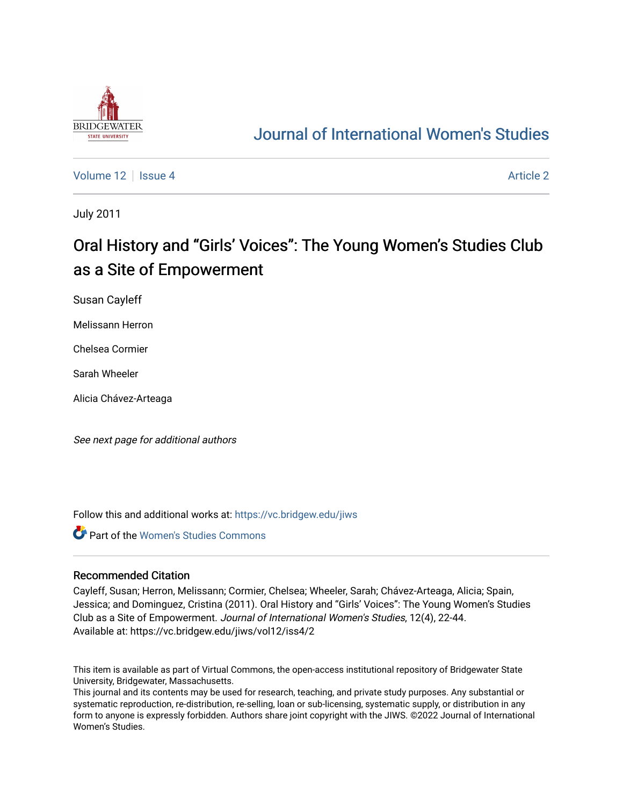

## [Journal of International Women's Studies](https://vc.bridgew.edu/jiws)

[Volume 12](https://vc.bridgew.edu/jiws/vol12) Setup 4 [Article 2](https://vc.bridgew.edu/jiws/vol12/iss4/2) Article 2 Article 2 Article 2 Article 2 Article 2 Article 2

July 2011

# Oral History and "Girls' Voices": The Young Women's Studies Club as a Site of Empowerment

Susan Cayleff

Melissann Herron

Chelsea Cormier

Sarah Wheeler

Alicia Chávez-Arteaga

See next page for additional authors

Follow this and additional works at: [https://vc.bridgew.edu/jiws](https://vc.bridgew.edu/jiws?utm_source=vc.bridgew.edu%2Fjiws%2Fvol12%2Fiss4%2F2&utm_medium=PDF&utm_campaign=PDFCoverPages)

**Part of the Women's Studies Commons** 

#### Recommended Citation

Cayleff, Susan; Herron, Melissann; Cormier, Chelsea; Wheeler, Sarah; Chávez-Arteaga, Alicia; Spain, Jessica; and Dominguez, Cristina (2011). Oral History and "Girls' Voices": The Young Women's Studies Club as a Site of Empowerment. Journal of International Women's Studies, 12(4), 22-44. Available at: https://vc.bridgew.edu/jiws/vol12/iss4/2

This item is available as part of Virtual Commons, the open-access institutional repository of Bridgewater State University, Bridgewater, Massachusetts.

This journal and its contents may be used for research, teaching, and private study purposes. Any substantial or systematic reproduction, re-distribution, re-selling, loan or sub-licensing, systematic supply, or distribution in any form to anyone is expressly forbidden. Authors share joint copyright with the JIWS. ©2022 Journal of International Women's Studies.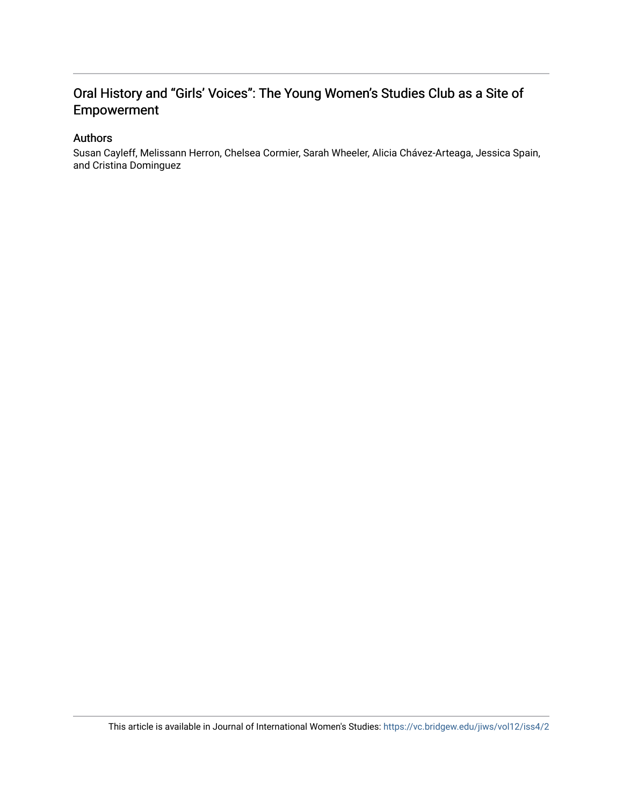## Oral History and "Girls' Voices": The Young Women's Studies Club as a Site of Empowerment

### Authors

Susan Cayleff, Melissann Herron, Chelsea Cormier, Sarah Wheeler, Alicia Chávez-Arteaga, Jessica Spain, and Cristina Dominguez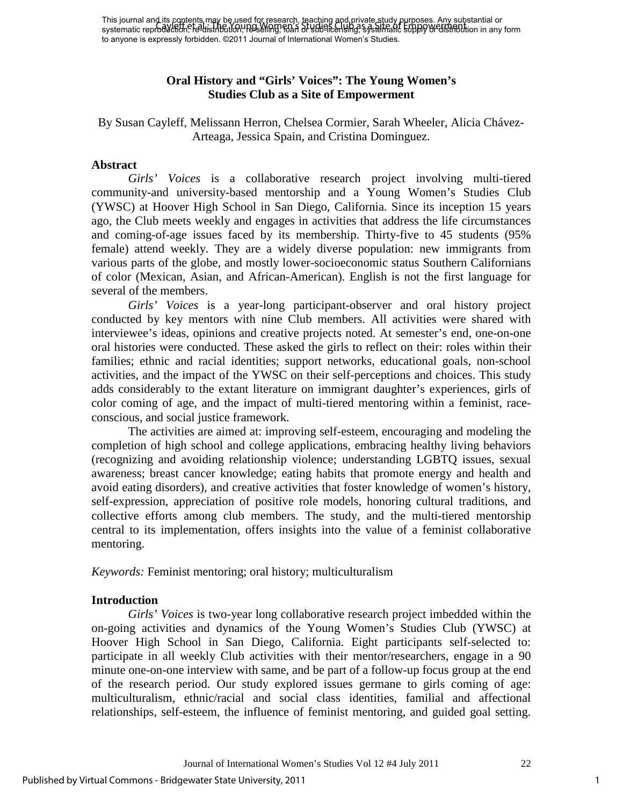This journal and its contents may be used for research, teaching and private study purposes. Any substantial or This journal and is refricting in the Cased Ion (Secretary, Racting, Chippinete Study of Hippses). Any substantial or<br>systematic reproduction, re-distribution, reselling, roan of Guidancentsing, systematic supply w distrib to anyone is expressly forbidden. ©2011 Journal of International Women's Studies.

## **Oral History and "Girls' Voices": The Young Women's Studies Club as a Site of Empowerment**

By Susan Cayleff, Melissann Herron, Chelsea Cormier, Sarah Wheeler, Alicia Chávez-Arteaga, Jessica Spain, and Cristina Dominguez.

#### **Abstract**

 *Girls' Voices* is a collaborative research project involving multi-tiered community-and university-based mentorship and a Young Women's Studies Club (YWSC) at Hoover High School in San Diego, California. Since its inception 15 years ago, the Club meets weekly and engages in activities that address the life circumstances and coming-of-age issues faced by its membership. Thirty-five to 45 students (95% female) attend weekly. They are a widely diverse population: new immigrants from various parts of the globe, and mostly lower-socioeconomic status Southern Californians of color (Mexican, Asian, and African-American). English is not the first language for several of the members.

*Girls' Voices* is a year-long participant-observer and oral history project conducted by key mentors with nine Club members. All activities were shared with interviewee's ideas, opinions and creative projects noted. At semester's end, one-on-one oral histories were conducted. These asked the girls to reflect on their: roles within their families; ethnic and racial identities; support networks, educational goals, non-school activities, and the impact of the YWSC on their self-perceptions and choices. This study adds considerably to the extant literature on immigrant daughter's experiences, girls of color coming of age, and the impact of multi-tiered mentoring within a feminist, raceconscious, and social justice framework.

The activities are aimed at: improving self-esteem, encouraging and modeling the completion of high school and college applications, embracing healthy living behaviors (recognizing and avoiding relationship violence; understanding LGBTQ issues, sexual awareness; breast cancer knowledge; eating habits that promote energy and health and avoid eating disorders), and creative activities that foster knowledge of women's history, self-expression, appreciation of positive role models, honoring cultural traditions, and collective efforts among club members. The study, and the multi-tiered mentorship central to its implementation, offers insights into the value of a feminist collaborative mentoring.

*Keywords:* Feminist mentoring; oral history; multiculturalism

#### **Introduction**

*Girls' Voices* is two-year long collaborative research project imbedded within the on-going activities and dynamics of the Young Women's Studies Club (YWSC) at Hoover High School in San Diego, California. Eight participants self-selected to: participate in all weekly Club activities with their mentor/researchers, engage in a 90 minute one-on-one interview with same, and be part of a follow-up focus group at the end of the research period. Our study explored issues germane to girls coming of age: multiculturalism, ethnic/racial and social class identities, familial and affectional relationships, self-esteem, the influence of feminist mentoring, and guided goal setting.

1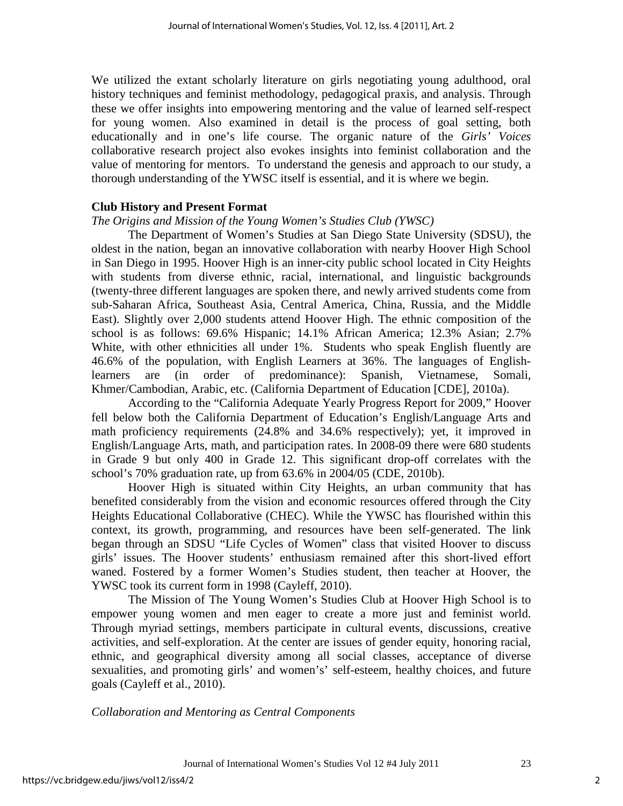We utilized the extant scholarly literature on girls negotiating young adulthood, oral history techniques and feminist methodology, pedagogical praxis, and analysis. Through these we offer insights into empowering mentoring and the value of learned self-respect for young women. Also examined in detail is the process of goal setting, both educationally and in one's life course. The organic nature of the *Girls' Voices* collaborative research project also evokes insights into feminist collaboration and the value of mentoring for mentors. To understand the genesis and approach to our study, a thorough understanding of the YWSC itself is essential, and it is where we begin.

## **Club History and Present Format**

## *The Origins and Mission of the Young Women's Studies Club (YWSC)*

The Department of Women's Studies at San Diego State University (SDSU), the oldest in the nation, began an innovative collaboration with nearby Hoover High School in San Diego in 1995. Hoover High is an inner-city public school located in City Heights with students from diverse ethnic, racial, international, and linguistic backgrounds (twenty-three different languages are spoken there, and newly arrived students come from sub-Saharan Africa, Southeast Asia, Central America, China, Russia, and the Middle East). Slightly over 2,000 students attend Hoover High. The ethnic composition of the school is as follows: 69.6% Hispanic; 14.1% African America; 12.3% Asian; 2.7% White, with other ethnicities all under 1%. Students who speak English fluently are 46.6% of the population, with English Learners at 36%. The languages of Englishlearners are (in order of predominance): Spanish, Vietnamese, Somali, Khmer/Cambodian, Arabic, etc. (California Department of Education [CDE], 2010a).

According to the "California Adequate Yearly Progress Report for 2009," Hoover fell below both the California Department of Education's English/Language Arts and math proficiency requirements (24.8% and 34.6% respectively); yet, it improved in English/Language Arts, math, and participation rates. In 2008-09 there were 680 students in Grade 9 but only 400 in Grade 12. This significant drop-off correlates with the school's 70% graduation rate, up from 63.6% in 2004/05 (CDE, 2010b).

Hoover High is situated within City Heights, an urban community that has benefited considerably from the vision and economic resources offered through the City Heights Educational Collaborative (CHEC). While the YWSC has flourished within this context, its growth, programming, and resources have been self-generated. The link began through an SDSU "Life Cycles of Women" class that visited Hoover to discuss girls' issues. The Hoover students' enthusiasm remained after this short-lived effort waned. Fostered by a former Women's Studies student, then teacher at Hoover, the YWSC took its current form in 1998 (Cayleff, 2010).

The Mission of The Young Women's Studies Club at Hoover High School is to empower young women and men eager to create a more just and feminist world. Through myriad settings, members participate in cultural events, discussions, creative activities, and self-exploration. At the center are issues of gender equity, honoring racial, ethnic, and geographical diversity among all social classes, acceptance of diverse sexualities, and promoting girls' and women's' self-esteem, healthy choices, and future goals (Cayleff et al., 2010).

*Collaboration and Mentoring as Central Components* 

2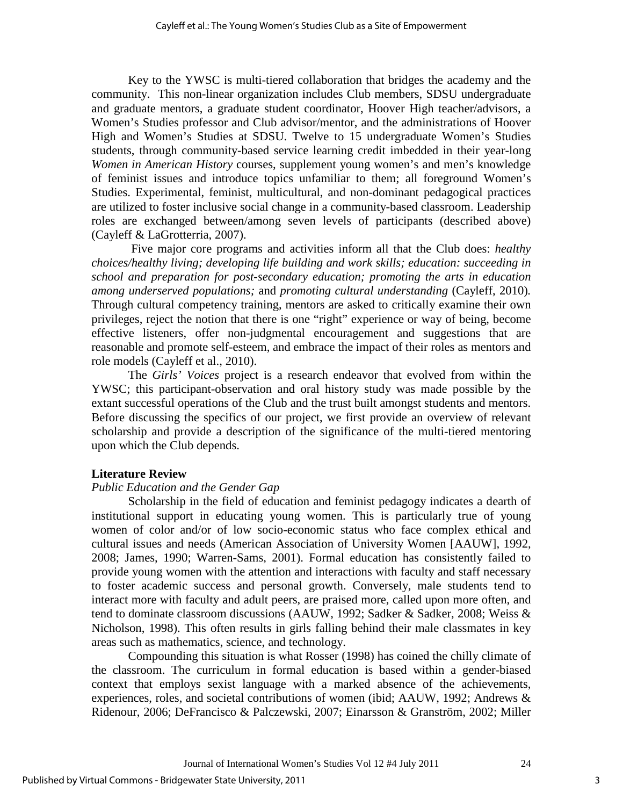Key to the YWSC is multi-tiered collaboration that bridges the academy and the community. This non-linear organization includes Club members, SDSU undergraduate and graduate mentors, a graduate student coordinator, Hoover High teacher/advisors, a Women's Studies professor and Club advisor/mentor, and the administrations of Hoover High and Women's Studies at SDSU. Twelve to 15 undergraduate Women's Studies students, through community-based service learning credit imbedded in their year-long *Women in American History* courses, supplement young women's and men's knowledge of feminist issues and introduce topics unfamiliar to them; all foreground Women's Studies. Experimental, feminist, multicultural, and non-dominant pedagogical practices are utilized to foster inclusive social change in a community-based classroom. Leadership roles are exchanged between/among seven levels of participants (described above) (Cayleff & LaGrotterria, 2007).

 Five major core programs and activities inform all that the Club does: *healthy choices/healthy living; developing life building and work skills; education: succeeding in school and preparation for post-secondary education; promoting the arts in education among underserved populations;* and *promoting cultural understanding* (Cayleff, 2010)*.*  Through cultural competency training, mentors are asked to critically examine their own privileges, reject the notion that there is one "right" experience or way of being, become effective listeners, offer non-judgmental encouragement and suggestions that are reasonable and promote self-esteem, and embrace the impact of their roles as mentors and role models (Cayleff et al., 2010).

The *Girls' Voices* project is a research endeavor that evolved from within the YWSC; this participant-observation and oral history study was made possible by the extant successful operations of the Club and the trust built amongst students and mentors. Before discussing the specifics of our project, we first provide an overview of relevant scholarship and provide a description of the significance of the multi-tiered mentoring upon which the Club depends.

#### **Literature Review**

## *Public Education and the Gender Gap*

Scholarship in the field of education and feminist pedagogy indicates a dearth of institutional support in educating young women. This is particularly true of young women of color and/or of low socio-economic status who face complex ethical and cultural issues and needs (American Association of University Women [AAUW], 1992, 2008; James, 1990; Warren-Sams, 2001). Formal education has consistently failed to provide young women with the attention and interactions with faculty and staff necessary to foster academic success and personal growth. Conversely, male students tend to interact more with faculty and adult peers, are praised more, called upon more often, and tend to dominate classroom discussions (AAUW, 1992; Sadker & Sadker, 2008; Weiss & Nicholson, 1998). This often results in girls falling behind their male classmates in key areas such as mathematics, science, and technology.

Compounding this situation is what Rosser (1998) has coined the chilly climate of the classroom. The curriculum in formal education is based within a gender-biased context that employs sexist language with a marked absence of the achievements, experiences, roles, and societal contributions of women (ibid; AAUW, 1992; Andrews & Ridenour, 2006; DeFrancisco & Palczewski, 2007; Einarsson & Granström, 2002; Miller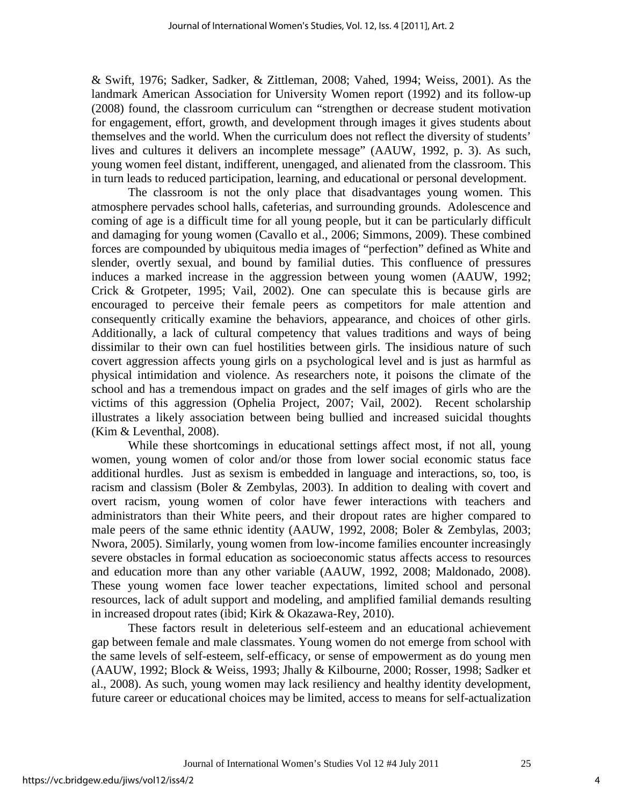& Swift, 1976; Sadker, Sadker, & Zittleman, 2008; Vahed, 1994; Weiss, 2001). As the landmark American Association for University Women report (1992) and its follow-up (2008) found, the classroom curriculum can "strengthen or decrease student motivation for engagement, effort, growth, and development through images it gives students about themselves and the world. When the curriculum does not reflect the diversity of students' lives and cultures it delivers an incomplete message" (AAUW, 1992, p. 3). As such, young women feel distant, indifferent, unengaged, and alienated from the classroom. This in turn leads to reduced participation, learning, and educational or personal development.

The classroom is not the only place that disadvantages young women. This atmosphere pervades school halls, cafeterias, and surrounding grounds. Adolescence and coming of age is a difficult time for all young people, but it can be particularly difficult and damaging for young women (Cavallo et al., 2006; Simmons, 2009). These combined forces are compounded by ubiquitous media images of "perfection" defined as White and slender, overtly sexual, and bound by familial duties. This confluence of pressures induces a marked increase in the aggression between young women (AAUW, 1992; Crick & Grotpeter, 1995; Vail, 2002). One can speculate this is because girls are encouraged to perceive their female peers as competitors for male attention and consequently critically examine the behaviors, appearance, and choices of other girls. Additionally, a lack of cultural competency that values traditions and ways of being dissimilar to their own can fuel hostilities between girls. The insidious nature of such covert aggression affects young girls on a psychological level and is just as harmful as physical intimidation and violence. As researchers note, it poisons the climate of the school and has a tremendous impact on grades and the self images of girls who are the victims of this aggression (Ophelia Project, 2007; Vail, 2002). Recent scholarship illustrates a likely association between being bullied and increased suicidal thoughts (Kim & Leventhal, 2008).

While these shortcomings in educational settings affect most, if not all, young women, young women of color and/or those from lower social economic status face additional hurdles. Just as sexism is embedded in language and interactions, so, too, is racism and classism (Boler & Zembylas, 2003). In addition to dealing with covert and overt racism, young women of color have fewer interactions with teachers and administrators than their White peers, and their dropout rates are higher compared to male peers of the same ethnic identity (AAUW, 1992, 2008; Boler & Zembylas, 2003; Nwora, 2005). Similarly, young women from low-income families encounter increasingly severe obstacles in formal education as socioeconomic status affects access to resources and education more than any other variable (AAUW, 1992, 2008; Maldonado, 2008). These young women face lower teacher expectations, limited school and personal resources, lack of adult support and modeling, and amplified familial demands resulting in increased dropout rates (ibid; Kirk & Okazawa-Rey, 2010).

These factors result in deleterious self-esteem and an educational achievement gap between female and male classmates. Young women do not emerge from school with the same levels of self-esteem, self-efficacy, or sense of empowerment as do young men (AAUW, 1992; Block & Weiss, 1993; Jhally & Kilbourne, 2000; Rosser, 1998; Sadker et al., 2008). As such, young women may lack resiliency and healthy identity development, future career or educational choices may be limited, access to means for self-actualization

4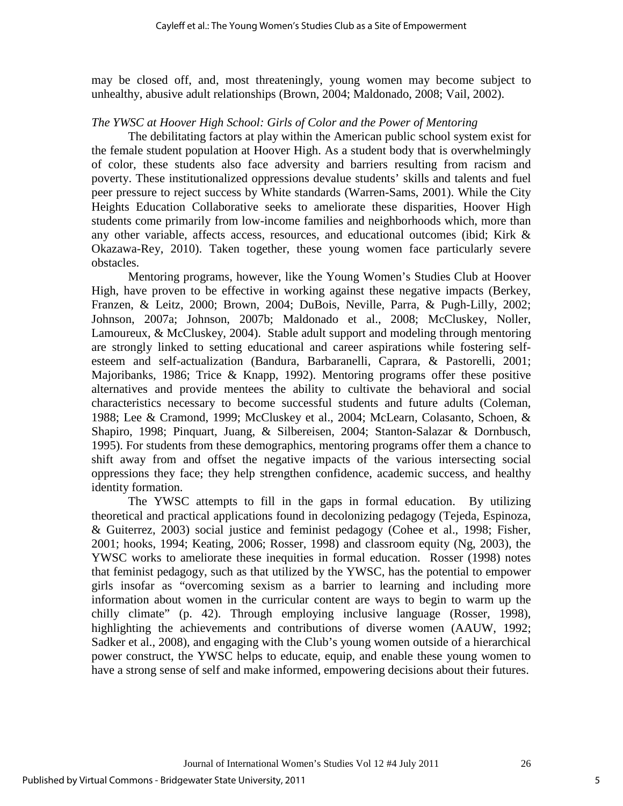may be closed off, and, most threateningly, young women may become subject to unhealthy, abusive adult relationships (Brown, 2004; Maldonado, 2008; Vail, 2002).

### *The YWSC at Hoover High School: Girls of Color and the Power of Mentoring*

The debilitating factors at play within the American public school system exist for the female student population at Hoover High. As a student body that is overwhelmingly of color, these students also face adversity and barriers resulting from racism and poverty. These institutionalized oppressions devalue students' skills and talents and fuel peer pressure to reject success by White standards (Warren-Sams, 2001). While the City Heights Education Collaborative seeks to ameliorate these disparities, Hoover High students come primarily from low-income families and neighborhoods which, more than any other variable, affects access, resources, and educational outcomes (ibid; Kirk & Okazawa-Rey, 2010). Taken together, these young women face particularly severe obstacles.

Mentoring programs, however, like the Young Women's Studies Club at Hoover High, have proven to be effective in working against these negative impacts (Berkey, Franzen, & Leitz, 2000; Brown, 2004; DuBois, Neville, Parra, & Pugh-Lilly, 2002; Johnson, 2007a; Johnson, 2007b; Maldonado et al., 2008; McCluskey, Noller, Lamoureux, & McCluskey, 2004). Stable adult support and modeling through mentoring are strongly linked to setting educational and career aspirations while fostering selfesteem and self-actualization (Bandura, Barbaranelli, Caprara, & Pastorelli, 2001; Majoribanks, 1986; Trice & Knapp, 1992). Mentoring programs offer these positive alternatives and provide mentees the ability to cultivate the behavioral and social characteristics necessary to become successful students and future adults (Coleman, 1988; Lee & Cramond, 1999; McCluskey et al., 2004; McLearn, Colasanto, Schoen, & Shapiro, 1998; Pinquart, Juang, & Silbereisen, 2004; Stanton-Salazar & Dornbusch, 1995). For students from these demographics, mentoring programs offer them a chance to shift away from and offset the negative impacts of the various intersecting social oppressions they face; they help strengthen confidence, academic success, and healthy identity formation.

The YWSC attempts to fill in the gaps in formal education. By utilizing theoretical and practical applications found in decolonizing pedagogy (Tejeda, Espinoza, & Guiterrez, 2003) social justice and feminist pedagogy (Cohee et al., 1998; Fisher, 2001; hooks, 1994; Keating, 2006; Rosser, 1998) and classroom equity (Ng, 2003), the YWSC works to ameliorate these inequities in formal education. Rosser (1998) notes that feminist pedagogy, such as that utilized by the YWSC, has the potential to empower girls insofar as "overcoming sexism as a barrier to learning and including more information about women in the curricular content are ways to begin to warm up the chilly climate" (p. 42). Through employing inclusive language (Rosser, 1998), highlighting the achievements and contributions of diverse women (AAUW, 1992; Sadker et al., 2008), and engaging with the Club's young women outside of a hierarchical power construct, the YWSC helps to educate, equip, and enable these young women to have a strong sense of self and make informed, empowering decisions about their futures.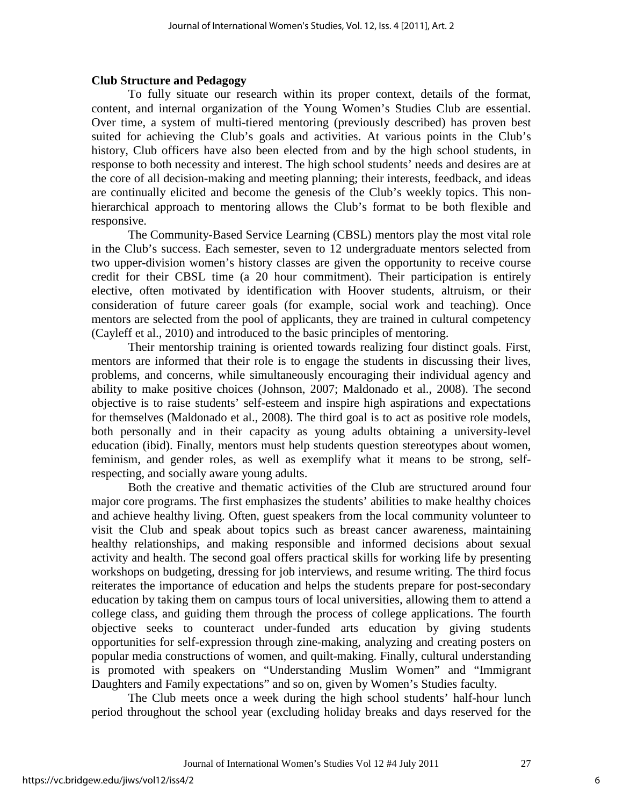#### **Club Structure and Pedagogy**

To fully situate our research within its proper context, details of the format, content, and internal organization of the Young Women's Studies Club are essential. Over time, a system of multi-tiered mentoring (previously described) has proven best suited for achieving the Club's goals and activities. At various points in the Club's history, Club officers have also been elected from and by the high school students, in response to both necessity and interest. The high school students' needs and desires are at the core of all decision-making and meeting planning; their interests, feedback, and ideas are continually elicited and become the genesis of the Club's weekly topics. This nonhierarchical approach to mentoring allows the Club's format to be both flexible and responsive.

The Community-Based Service Learning (CBSL) mentors play the most vital role in the Club's success. Each semester, seven to 12 undergraduate mentors selected from two upper-division women's history classes are given the opportunity to receive course credit for their CBSL time (a 20 hour commitment). Their participation is entirely elective, often motivated by identification with Hoover students, altruism, or their consideration of future career goals (for example, social work and teaching). Once mentors are selected from the pool of applicants, they are trained in cultural competency (Cayleff et al., 2010) and introduced to the basic principles of mentoring.

Their mentorship training is oriented towards realizing four distinct goals. First, mentors are informed that their role is to engage the students in discussing their lives, problems, and concerns, while simultaneously encouraging their individual agency and ability to make positive choices (Johnson, 2007; Maldonado et al., 2008). The second objective is to raise students' self-esteem and inspire high aspirations and expectations for themselves (Maldonado et al., 2008). The third goal is to act as positive role models, both personally and in their capacity as young adults obtaining a university-level education (ibid). Finally, mentors must help students question stereotypes about women, feminism, and gender roles, as well as exemplify what it means to be strong, selfrespecting, and socially aware young adults.

Both the creative and thematic activities of the Club are structured around four major core programs. The first emphasizes the students' abilities to make healthy choices and achieve healthy living. Often, guest speakers from the local community volunteer to visit the Club and speak about topics such as breast cancer awareness, maintaining healthy relationships, and making responsible and informed decisions about sexual activity and health. The second goal offers practical skills for working life by presenting workshops on budgeting, dressing for job interviews, and resume writing. The third focus reiterates the importance of education and helps the students prepare for post-secondary education by taking them on campus tours of local universities, allowing them to attend a college class, and guiding them through the process of college applications. The fourth objective seeks to counteract under-funded arts education by giving students opportunities for self-expression through zine-making, analyzing and creating posters on popular media constructions of women, and quilt-making. Finally, cultural understanding is promoted with speakers on "Understanding Muslim Women" and "Immigrant Daughters and Family expectations" and so on, given by Women's Studies faculty.

 The Club meets once a week during the high school students' half-hour lunch period throughout the school year (excluding holiday breaks and days reserved for the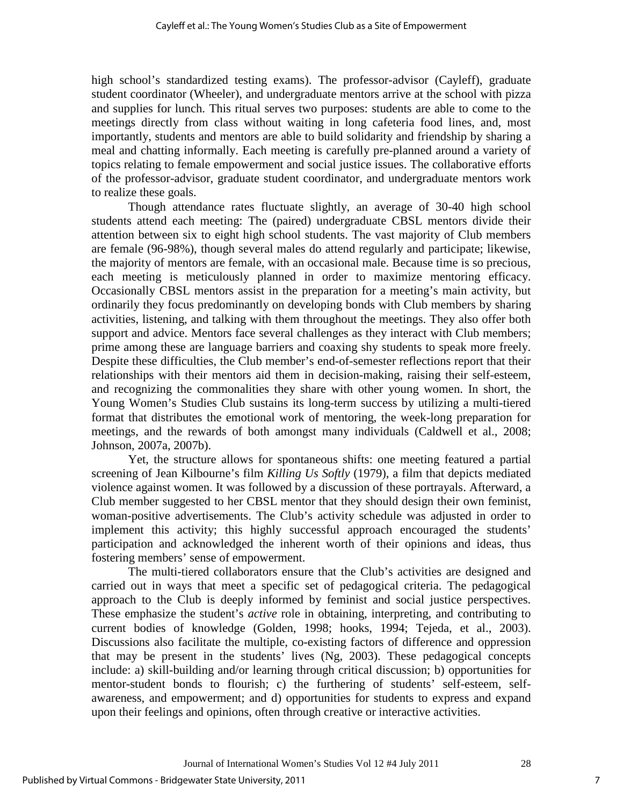high school's standardized testing exams). The professor-advisor (Cayleff), graduate student coordinator (Wheeler), and undergraduate mentors arrive at the school with pizza and supplies for lunch. This ritual serves two purposes: students are able to come to the meetings directly from class without waiting in long cafeteria food lines, and, most importantly, students and mentors are able to build solidarity and friendship by sharing a meal and chatting informally. Each meeting is carefully pre-planned around a variety of topics relating to female empowerment and social justice issues. The collaborative efforts of the professor-advisor, graduate student coordinator, and undergraduate mentors work to realize these goals.

Though attendance rates fluctuate slightly, an average of 30-40 high school students attend each meeting: The (paired) undergraduate CBSL mentors divide their attention between six to eight high school students. The vast majority of Club members are female (96-98%), though several males do attend regularly and participate; likewise, the majority of mentors are female, with an occasional male. Because time is so precious, each meeting is meticulously planned in order to maximize mentoring efficacy. Occasionally CBSL mentors assist in the preparation for a meeting's main activity, but ordinarily they focus predominantly on developing bonds with Club members by sharing activities, listening, and talking with them throughout the meetings. They also offer both support and advice. Mentors face several challenges as they interact with Club members; prime among these are language barriers and coaxing shy students to speak more freely. Despite these difficulties, the Club member's end-of-semester reflections report that their relationships with their mentors aid them in decision-making, raising their self-esteem, and recognizing the commonalities they share with other young women. In short, the Young Women's Studies Club sustains its long-term success by utilizing a multi-tiered format that distributes the emotional work of mentoring, the week-long preparation for meetings, and the rewards of both amongst many individuals (Caldwell et al., 2008; Johnson, 2007a, 2007b).

Yet, the structure allows for spontaneous shifts: one meeting featured a partial screening of Jean Kilbourne's film *Killing Us Softly* (1979), a film that depicts mediated violence against women. It was followed by a discussion of these portrayals. Afterward, a Club member suggested to her CBSL mentor that they should design their own feminist, woman-positive advertisements. The Club's activity schedule was adjusted in order to implement this activity; this highly successful approach encouraged the students' participation and acknowledged the inherent worth of their opinions and ideas, thus fostering members' sense of empowerment.

The multi-tiered collaborators ensure that the Club's activities are designed and carried out in ways that meet a specific set of pedagogical criteria. The pedagogical approach to the Club is deeply informed by feminist and social justice perspectives. These emphasize the student's *active* role in obtaining, interpreting, and contributing to current bodies of knowledge (Golden, 1998; hooks, 1994; Tejeda, et al., 2003). Discussions also facilitate the multiple, co-existing factors of difference and oppression that may be present in the students' lives (Ng, 2003). These pedagogical concepts include: a) skill-building and/or learning through critical discussion; b) opportunities for mentor-student bonds to flourish; c) the furthering of students' self-esteem, selfawareness, and empowerment; and d) opportunities for students to express and expand upon their feelings and opinions, often through creative or interactive activities.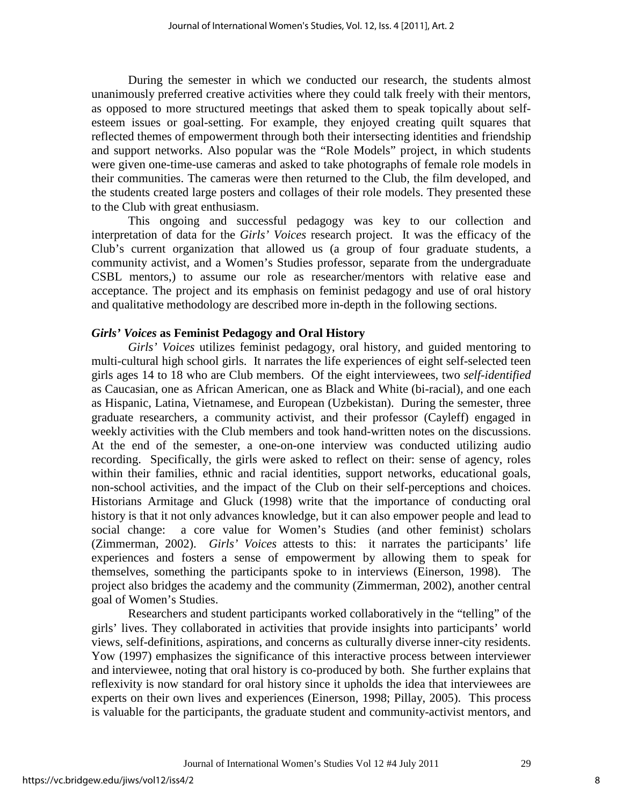During the semester in which we conducted our research, the students almost unanimously preferred creative activities where they could talk freely with their mentors, as opposed to more structured meetings that asked them to speak topically about selfesteem issues or goal-setting. For example, they enjoyed creating quilt squares that reflected themes of empowerment through both their intersecting identities and friendship and support networks. Also popular was the "Role Models" project, in which students were given one-time-use cameras and asked to take photographs of female role models in their communities. The cameras were then returned to the Club, the film developed, and the students created large posters and collages of their role models. They presented these to the Club with great enthusiasm.

This ongoing and successful pedagogy was key to our collection and interpretation of data for the *Girls' Voices* research project. It was the efficacy of the Club's current organization that allowed us (a group of four graduate students, a community activist, and a Women's Studies professor, separate from the undergraduate CSBL mentors,) to assume our role as researcher/mentors with relative ease and acceptance. The project and its emphasis on feminist pedagogy and use of oral history and qualitative methodology are described more in-depth in the following sections.

#### *Girls' Voices* **as Feminist Pedagogy and Oral History**

*Girls' Voices* utilizes feminist pedagogy, oral history, and guided mentoring to multi-cultural high school girls. It narrates the life experiences of eight self-selected teen girls ages 14 to 18 who are Club members. Of the eight interviewees, two *self-identified* as Caucasian, one as African American, one as Black and White (bi-racial), and one each as Hispanic, Latina, Vietnamese, and European (Uzbekistan). During the semester, three graduate researchers, a community activist, and their professor (Cayleff) engaged in weekly activities with the Club members and took hand-written notes on the discussions. At the end of the semester, a one-on-one interview was conducted utilizing audio recording. Specifically, the girls were asked to reflect on their: sense of agency, roles within their families, ethnic and racial identities, support networks, educational goals, non-school activities, and the impact of the Club on their self-perceptions and choices. Historians Armitage and Gluck (1998) write that the importance of conducting oral history is that it not only advances knowledge, but it can also empower people and lead to social change: a core value for Women's Studies (and other feminist) scholars (Zimmerman, 2002). *Girls' Voices* attests to this: it narrates the participants' life experiences and fosters a sense of empowerment by allowing them to speak for themselves, something the participants spoke to in interviews (Einerson, 1998). The project also bridges the academy and the community (Zimmerman, 2002), another central goal of Women's Studies.

 Researchers and student participants worked collaboratively in the "telling" of the girls' lives. They collaborated in activities that provide insights into participants' world views, self-definitions, aspirations, and concerns as culturally diverse inner-city residents. Yow (1997) emphasizes the significance of this interactive process between interviewer and interviewee, noting that oral history is co-produced by both. She further explains that reflexivity is now standard for oral history since it upholds the idea that interviewees are experts on their own lives and experiences (Einerson, 1998; Pillay, 2005). This process is valuable for the participants, the graduate student and community-activist mentors, and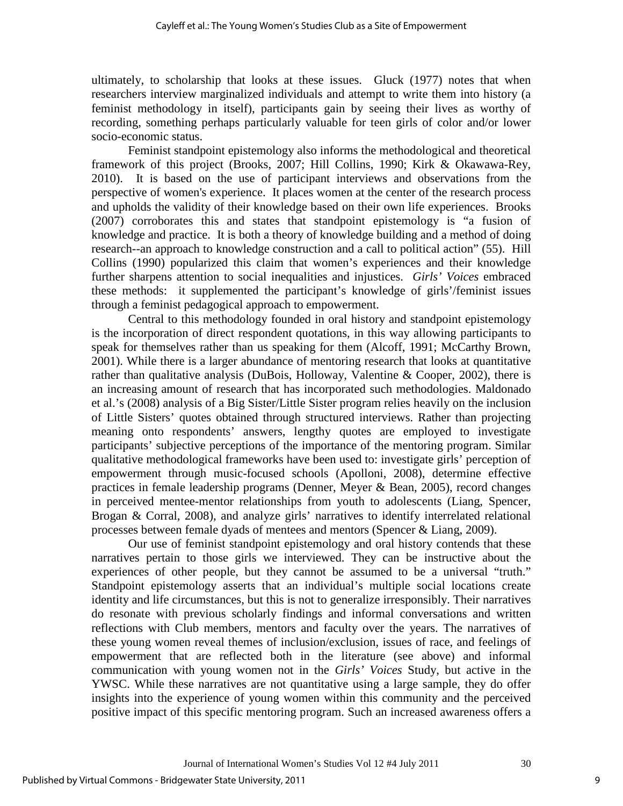ultimately, to scholarship that looks at these issues. Gluck (1977) notes that when researchers interview marginalized individuals and attempt to write them into history (a feminist methodology in itself), participants gain by seeing their lives as worthy of recording, something perhaps particularly valuable for teen girls of color and/or lower socio-economic status.

Feminist standpoint epistemology also informs the methodological and theoretical framework of this project (Brooks, 2007; Hill Collins, 1990; Kirk & Okawawa-Rey, 2010). It is based on the use of participant interviews and observations from the perspective of women's experience. It places women at the center of the research process and upholds the validity of their knowledge based on their own life experiences. Brooks (2007) corroborates this and states that standpoint epistemology is "a fusion of knowledge and practice. It is both a theory of knowledge building and a method of doing research--an approach to knowledge construction and a call to political action" (55). Hill Collins (1990) popularized this claim that women's experiences and their knowledge further sharpens attention to social inequalities and injustices. *Girls' Voices* embraced these methods: it supplemented the participant's knowledge of girls'/feminist issues through a feminist pedagogical approach to empowerment.

Central to this methodology founded in oral history and standpoint epistemology is the incorporation of direct respondent quotations, in this way allowing participants to speak for themselves rather than us speaking for them (Alcoff, 1991; McCarthy Brown, 2001). While there is a larger abundance of mentoring research that looks at quantitative rather than qualitative analysis (DuBois, Holloway, Valentine  $& Cooper, 2002$ ), there is an increasing amount of research that has incorporated such methodologies. Maldonado et al.'s (2008) analysis of a Big Sister/Little Sister program relies heavily on the inclusion of Little Sisters' quotes obtained through structured interviews. Rather than projecting meaning onto respondents' answers, lengthy quotes are employed to investigate participants' subjective perceptions of the importance of the mentoring program. Similar qualitative methodological frameworks have been used to: investigate girls' perception of empowerment through music-focused schools (Apolloni, 2008), determine effective practices in female leadership programs (Denner, Meyer & Bean, 2005), record changes in perceived mentee-mentor relationships from youth to adolescents (Liang, Spencer, Brogan & Corral, 2008), and analyze girls' narratives to identify interrelated relational processes between female dyads of mentees and mentors (Spencer & Liang, 2009).

Our use of feminist standpoint epistemology and oral history contends that these narratives pertain to those girls we interviewed. They can be instructive about the experiences of other people, but they cannot be assumed to be a universal "truth." Standpoint epistemology asserts that an individual's multiple social locations create identity and life circumstances, but this is not to generalize irresponsibly. Their narratives do resonate with previous scholarly findings and informal conversations and written reflections with Club members, mentors and faculty over the years. The narratives of these young women reveal themes of inclusion/exclusion, issues of race, and feelings of empowerment that are reflected both in the literature (see above) and informal communication with young women not in the *Girls' Voices* Study, but active in the YWSC. While these narratives are not quantitative using a large sample, they do offer insights into the experience of young women within this community and the perceived positive impact of this specific mentoring program. Such an increased awareness offers a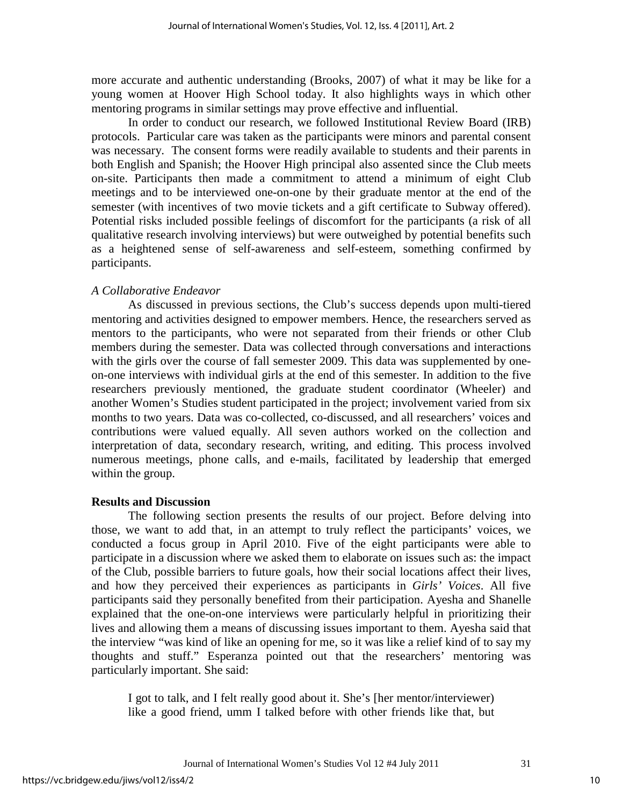more accurate and authentic understanding (Brooks, 2007) of what it may be like for a young women at Hoover High School today. It also highlights ways in which other mentoring programs in similar settings may prove effective and influential.

In order to conduct our research, we followed Institutional Review Board (IRB) protocols. Particular care was taken as the participants were minors and parental consent was necessary. The consent forms were readily available to students and their parents in both English and Spanish; the Hoover High principal also assented since the Club meets on-site. Participants then made a commitment to attend a minimum of eight Club meetings and to be interviewed one-on-one by their graduate mentor at the end of the semester (with incentives of two movie tickets and a gift certificate to Subway offered). Potential risks included possible feelings of discomfort for the participants (a risk of all qualitative research involving interviews) but were outweighed by potential benefits such as a heightened sense of self-awareness and self-esteem, something confirmed by participants.

#### *A Collaborative Endeavor*

As discussed in previous sections, the Club's success depends upon multi-tiered mentoring and activities designed to empower members. Hence, the researchers served as mentors to the participants, who were not separated from their friends or other Club members during the semester. Data was collected through conversations and interactions with the girls over the course of fall semester 2009. This data was supplemented by oneon-one interviews with individual girls at the end of this semester. In addition to the five researchers previously mentioned, the graduate student coordinator (Wheeler) and another Women's Studies student participated in the project; involvement varied from six months to two years. Data was co-collected, co-discussed, and all researchers' voices and contributions were valued equally. All seven authors worked on the collection and interpretation of data, secondary research, writing, and editing. This process involved numerous meetings, phone calls, and e-mails, facilitated by leadership that emerged within the group.

#### **Results and Discussion**

The following section presents the results of our project. Before delving into those, we want to add that, in an attempt to truly reflect the participants' voices, we conducted a focus group in April 2010. Five of the eight participants were able to participate in a discussion where we asked them to elaborate on issues such as: the impact of the Club, possible barriers to future goals, how their social locations affect their lives, and how they perceived their experiences as participants in *Girls' Voices*. All five participants said they personally benefited from their participation. Ayesha and Shanelle explained that the one-on-one interviews were particularly helpful in prioritizing their lives and allowing them a means of discussing issues important to them. Ayesha said that the interview "was kind of like an opening for me, so it was like a relief kind of to say my thoughts and stuff." Esperanza pointed out that the researchers' mentoring was particularly important. She said:

I got to talk, and I felt really good about it. She's [her mentor/interviewer) like a good friend, umm I talked before with other friends like that, but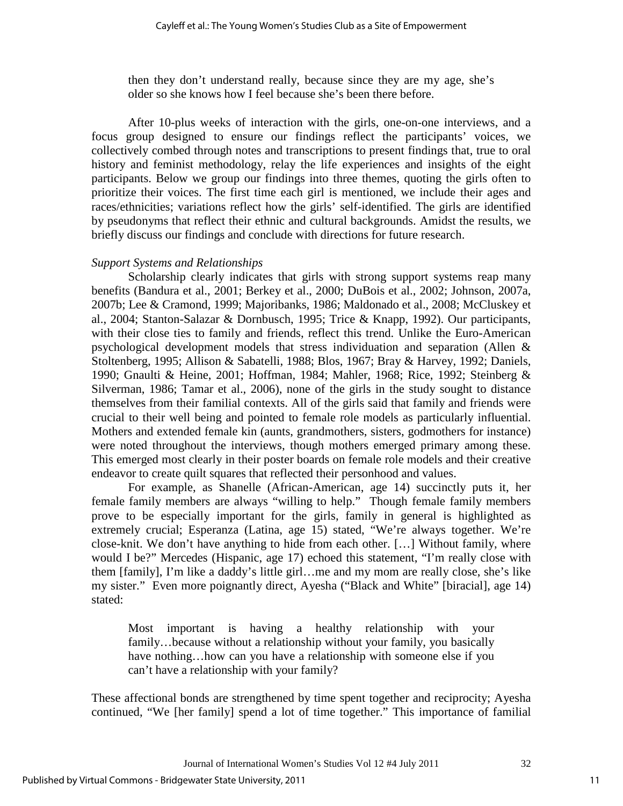then they don't understand really, because since they are my age, she's older so she knows how I feel because she's been there before.

After 10-plus weeks of interaction with the girls, one-on-one interviews, and a focus group designed to ensure our findings reflect the participants' voices, we collectively combed through notes and transcriptions to present findings that, true to oral history and feminist methodology, relay the life experiences and insights of the eight participants. Below we group our findings into three themes, quoting the girls often to prioritize their voices. The first time each girl is mentioned, we include their ages and races/ethnicities; variations reflect how the girls' self-identified. The girls are identified by pseudonyms that reflect their ethnic and cultural backgrounds. Amidst the results, we briefly discuss our findings and conclude with directions for future research.

## *Support Systems and Relationships*

Scholarship clearly indicates that girls with strong support systems reap many benefits (Bandura et al., 2001; Berkey et al., 2000; DuBois et al., 2002; Johnson, 2007a, 2007b; Lee & Cramond, 1999; Majoribanks, 1986; Maldonado et al., 2008; McCluskey et al., 2004; Stanton-Salazar & Dornbusch, 1995; Trice & Knapp, 1992). Our participants, with their close ties to family and friends, reflect this trend. Unlike the Euro-American psychological development models that stress individuation and separation (Allen & Stoltenberg, 1995; Allison & Sabatelli, 1988; Blos, 1967; Bray & Harvey, 1992; Daniels, 1990; Gnaulti & Heine, 2001; Hoffman, 1984; Mahler, 1968; Rice, 1992; Steinberg & Silverman, 1986; Tamar et al., 2006), none of the girls in the study sought to distance themselves from their familial contexts. All of the girls said that family and friends were crucial to their well being and pointed to female role models as particularly influential. Mothers and extended female kin (aunts, grandmothers, sisters, godmothers for instance) were noted throughout the interviews, though mothers emerged primary among these. This emerged most clearly in their poster boards on female role models and their creative endeavor to create quilt squares that reflected their personhood and values.

For example, as Shanelle (African-American, age 14) succinctly puts it, her female family members are always "willing to help." Though female family members prove to be especially important for the girls, family in general is highlighted as extremely crucial; Esperanza (Latina, age 15) stated, "We're always together. We're close-knit. We don't have anything to hide from each other. […] Without family, where would I be?" Mercedes (Hispanic, age 17) echoed this statement, "I'm really close with them [family], I'm like a daddy's little girl…me and my mom are really close, she's like my sister." Even more poignantly direct, Ayesha ("Black and White" [biracial], age 14) stated:

Most important is having a healthy relationship with your family…because without a relationship without your family, you basically have nothing...how can you have a relationship with someone else if you can't have a relationship with your family?

These affectional bonds are strengthened by time spent together and reciprocity; Ayesha continued, "We [her family] spend a lot of time together." This importance of familial

Journal of International Women's Studies Vol 12 #4 July 2011 32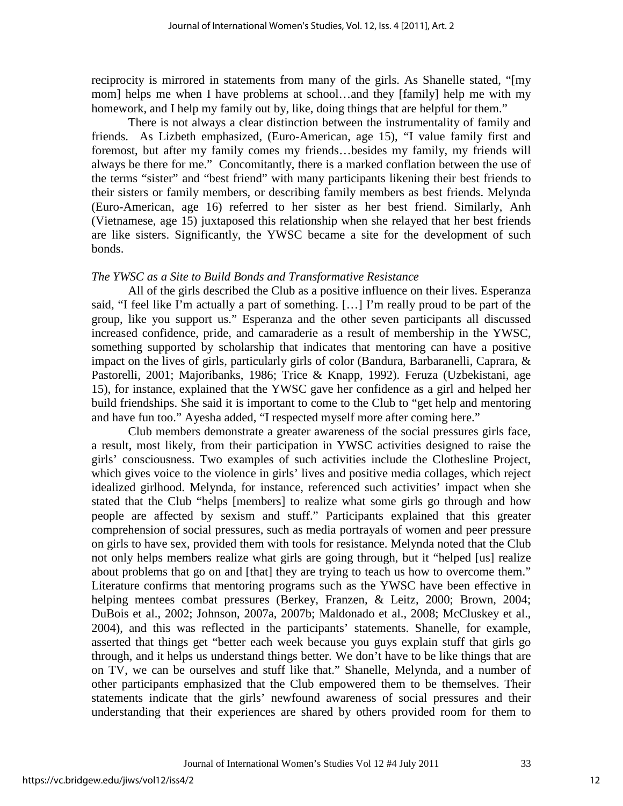reciprocity is mirrored in statements from many of the girls. As Shanelle stated, "[my mom] helps me when I have problems at school…and they [family] help me with my homework, and I help my family out by, like, doing things that are helpful for them."

There is not always a clear distinction between the instrumentality of family and friends. As Lizbeth emphasized, (Euro-American, age 15), "I value family first and foremost, but after my family comes my friends…besides my family, my friends will always be there for me." Concomitantly, there is a marked conflation between the use of the terms "sister" and "best friend" with many participants likening their best friends to their sisters or family members, or describing family members as best friends. Melynda (Euro-American, age 16) referred to her sister as her best friend. Similarly, Anh (Vietnamese, age 15) juxtaposed this relationship when she relayed that her best friends are like sisters. Significantly, the YWSC became a site for the development of such bonds.

#### *The YWSC as a Site to Build Bonds and Transformative Resistance*

All of the girls described the Club as a positive influence on their lives. Esperanza said, "I feel like I'm actually a part of something. […] I'm really proud to be part of the group, like you support us." Esperanza and the other seven participants all discussed increased confidence, pride, and camaraderie as a result of membership in the YWSC, something supported by scholarship that indicates that mentoring can have a positive impact on the lives of girls, particularly girls of color (Bandura, Barbaranelli, Caprara, & Pastorelli, 2001; Majoribanks, 1986; Trice & Knapp, 1992). Feruza (Uzbekistani, age 15), for instance, explained that the YWSC gave her confidence as a girl and helped her build friendships. She said it is important to come to the Club to "get help and mentoring and have fun too." Ayesha added, "I respected myself more after coming here."

 Club members demonstrate a greater awareness of the social pressures girls face, a result, most likely, from their participation in YWSC activities designed to raise the girls' consciousness. Two examples of such activities include the Clothesline Project, which gives voice to the violence in girls' lives and positive media collages, which reject idealized girlhood. Melynda, for instance, referenced such activities' impact when she stated that the Club "helps [members] to realize what some girls go through and how people are affected by sexism and stuff." Participants explained that this greater comprehension of social pressures, such as media portrayals of women and peer pressure on girls to have sex, provided them with tools for resistance. Melynda noted that the Club not only helps members realize what girls are going through, but it "helped [us] realize about problems that go on and [that] they are trying to teach us how to overcome them." Literature confirms that mentoring programs such as the YWSC have been effective in helping mentees combat pressures (Berkey, Franzen, & Leitz, 2000; Brown, 2004; DuBois et al., 2002; Johnson, 2007a, 2007b; Maldonado et al., 2008; McCluskey et al., 2004), and this was reflected in the participants' statements. Shanelle, for example, asserted that things get "better each week because you guys explain stuff that girls go through, and it helps us understand things better. We don't have to be like things that are on TV, we can be ourselves and stuff like that." Shanelle, Melynda, and a number of other participants emphasized that the Club empowered them to be themselves. Their statements indicate that the girls' newfound awareness of social pressures and their understanding that their experiences are shared by others provided room for them to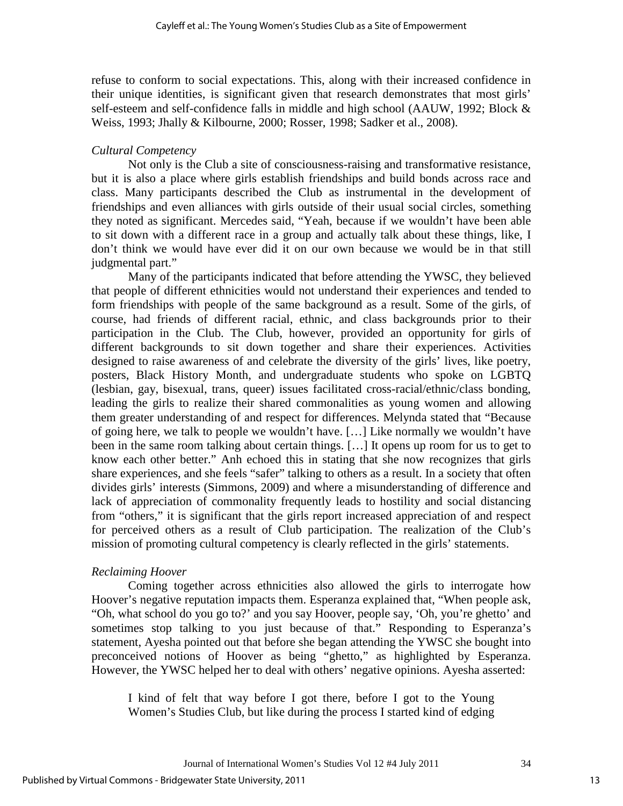refuse to conform to social expectations. This, along with their increased confidence in their unique identities, is significant given that research demonstrates that most girls' self-esteem and self-confidence falls in middle and high school (AAUW, 1992; Block & Weiss, 1993; Jhally & Kilbourne, 2000; Rosser, 1998; Sadker et al., 2008).

## *Cultural Competency*

Not only is the Club a site of consciousness-raising and transformative resistance, but it is also a place where girls establish friendships and build bonds across race and class. Many participants described the Club as instrumental in the development of friendships and even alliances with girls outside of their usual social circles, something they noted as significant. Mercedes said, "Yeah, because if we wouldn't have been able to sit down with a different race in a group and actually talk about these things, like, I don't think we would have ever did it on our own because we would be in that still judgmental part."

Many of the participants indicated that before attending the YWSC, they believed that people of different ethnicities would not understand their experiences and tended to form friendships with people of the same background as a result. Some of the girls, of course, had friends of different racial, ethnic, and class backgrounds prior to their participation in the Club. The Club, however, provided an opportunity for girls of different backgrounds to sit down together and share their experiences. Activities designed to raise awareness of and celebrate the diversity of the girls' lives, like poetry, posters, Black History Month, and undergraduate students who spoke on LGBTQ (lesbian, gay, bisexual, trans, queer) issues facilitated cross-racial/ethnic/class bonding, leading the girls to realize their shared commonalities as young women and allowing them greater understanding of and respect for differences. Melynda stated that "Because of going here, we talk to people we wouldn't have. […] Like normally we wouldn't have been in the same room talking about certain things. […] It opens up room for us to get to know each other better." Anh echoed this in stating that she now recognizes that girls share experiences, and she feels "safer" talking to others as a result. In a society that often divides girls' interests (Simmons, 2009) and where a misunderstanding of difference and lack of appreciation of commonality frequently leads to hostility and social distancing from "others," it is significant that the girls report increased appreciation of and respect for perceived others as a result of Club participation. The realization of the Club's mission of promoting cultural competency is clearly reflected in the girls' statements.

## *Reclaiming Hoover*

Coming together across ethnicities also allowed the girls to interrogate how Hoover's negative reputation impacts them. Esperanza explained that, "When people ask, "Oh, what school do you go to?' and you say Hoover, people say, 'Oh, you're ghetto' and sometimes stop talking to you just because of that." Responding to Esperanza's statement, Ayesha pointed out that before she began attending the YWSC she bought into preconceived notions of Hoover as being "ghetto," as highlighted by Esperanza. However, the YWSC helped her to deal with others' negative opinions. Ayesha asserted:

I kind of felt that way before I got there, before I got to the Young Women's Studies Club, but like during the process I started kind of edging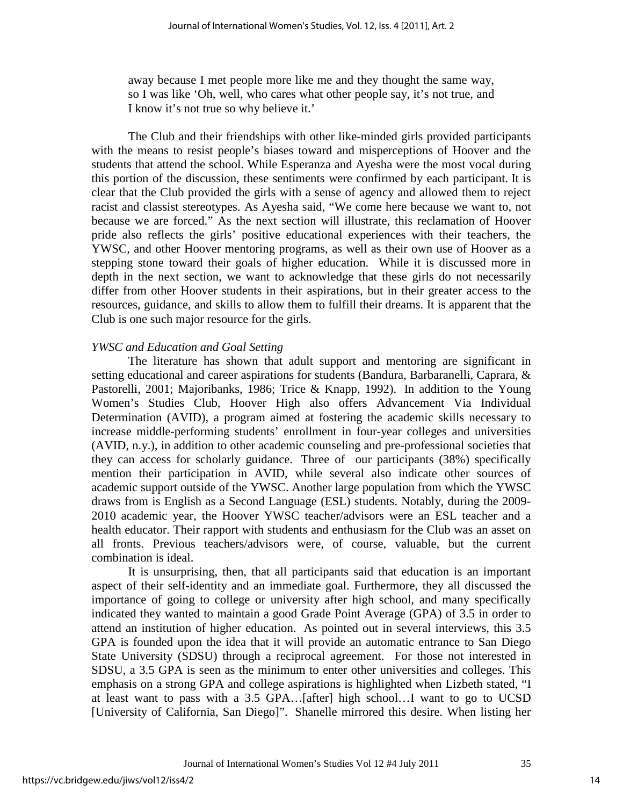away because I met people more like me and they thought the same way, so I was like 'Oh, well, who cares what other people say, it's not true, and I know it's not true so why believe it.'

The Club and their friendships with other like-minded girls provided participants with the means to resist people's biases toward and misperceptions of Hoover and the students that attend the school. While Esperanza and Ayesha were the most vocal during this portion of the discussion, these sentiments were confirmed by each participant. It is clear that the Club provided the girls with a sense of agency and allowed them to reject racist and classist stereotypes. As Ayesha said, "We come here because we want to, not because we are forced." As the next section will illustrate, this reclamation of Hoover pride also reflects the girls' positive educational experiences with their teachers, the YWSC, and other Hoover mentoring programs, as well as their own use of Hoover as a stepping stone toward their goals of higher education. While it is discussed more in depth in the next section, we want to acknowledge that these girls do not necessarily differ from other Hoover students in their aspirations, but in their greater access to the resources, guidance, and skills to allow them to fulfill their dreams. It is apparent that the Club is one such major resource for the girls.

## *YWSC and Education and Goal Setting*

The literature has shown that adult support and mentoring are significant in setting educational and career aspirations for students (Bandura, Barbaranelli, Caprara, & Pastorelli, 2001; Majoribanks, 1986; Trice & Knapp, 1992). In addition to the Young Women's Studies Club, Hoover High also offers Advancement Via Individual Determination (AVID), a program aimed at fostering the academic skills necessary to increase middle-performing students' enrollment in four-year colleges and universities (AVID, n.y.), in addition to other academic counseling and pre-professional societies that they can access for scholarly guidance. Three of our participants (38%) specifically mention their participation in AVID, while several also indicate other sources of academic support outside of the YWSC. Another large population from which the YWSC draws from is English as a Second Language (ESL) students. Notably, during the 2009- 2010 academic year, the Hoover YWSC teacher/advisors were an ESL teacher and a health educator. Their rapport with students and enthusiasm for the Club was an asset on all fronts. Previous teachers/advisors were, of course, valuable, but the current combination is ideal.

 It is unsurprising, then, that all participants said that education is an important aspect of their self-identity and an immediate goal. Furthermore, they all discussed the importance of going to college or university after high school, and many specifically indicated they wanted to maintain a good Grade Point Average (GPA) of 3.5 in order to attend an institution of higher education. As pointed out in several interviews, this 3.5 GPA is founded upon the idea that it will provide an automatic entrance to San Diego State University (SDSU) through a reciprocal agreement. For those not interested in SDSU, a 3.5 GPA is seen as the minimum to enter other universities and colleges. This emphasis on a strong GPA and college aspirations is highlighted when Lizbeth stated, "I at least want to pass with a 3.5 GPA…[after] high school…I want to go to UCSD [University of California, San Diego]". Shanelle mirrored this desire. When listing her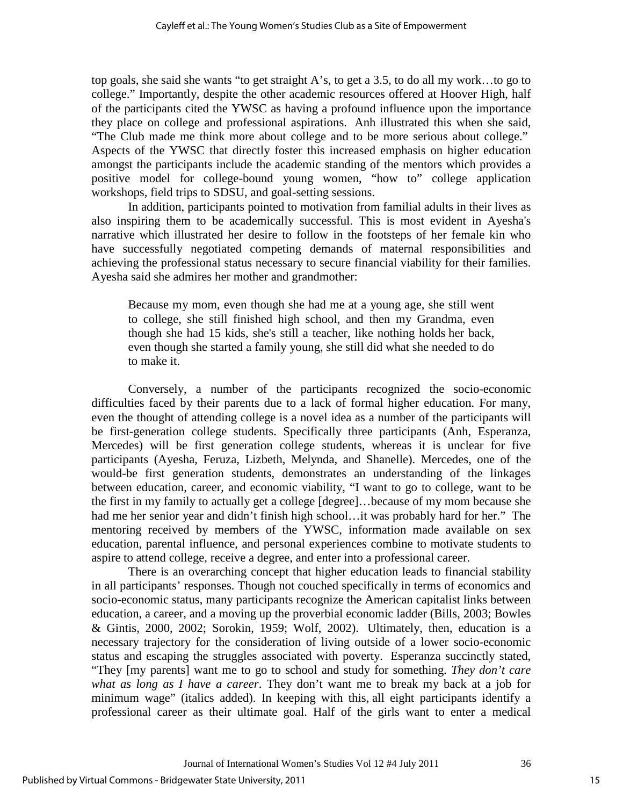top goals, she said she wants "to get straight A's, to get a 3.5, to do all my work…to go to college." Importantly, despite the other academic resources offered at Hoover High, half of the participants cited the YWSC as having a profound influence upon the importance they place on college and professional aspirations. Anh illustrated this when she said, "The Club made me think more about college and to be more serious about college." Aspects of the YWSC that directly foster this increased emphasis on higher education amongst the participants include the academic standing of the mentors which provides a positive model for college-bound young women, "how to" college application workshops, field trips to SDSU, and goal-setting sessions.

In addition, participants pointed to motivation from familial adults in their lives as also inspiring them to be academically successful. This is most evident in Ayesha's narrative which illustrated her desire to follow in the footsteps of her female kin who have successfully negotiated competing demands of maternal responsibilities and achieving the professional status necessary to secure financial viability for their families. Ayesha said she admires her mother and grandmother:

Because my mom, even though she had me at a young age, she still went to college, she still finished high school, and then my Grandma, even though she had 15 kids, she's still a teacher, like nothing holds her back, even though she started a family young, she still did what she needed to do to make it.

 Conversely, a number of the participants recognized the socio-economic difficulties faced by their parents due to a lack of formal higher education. For many, even the thought of attending college is a novel idea as a number of the participants will be first-generation college students. Specifically three participants (Anh, Esperanza, Mercedes) will be first generation college students, whereas it is unclear for five participants (Ayesha, Feruza, Lizbeth, Melynda, and Shanelle). Mercedes, one of the would-be first generation students, demonstrates an understanding of the linkages between education, career, and economic viability, "I want to go to college, want to be the first in my family to actually get a college [degree]…because of my mom because she had me her senior year and didn't finish high school... it was probably hard for her." The mentoring received by members of the YWSC, information made available on sex education, parental influence, and personal experiences combine to motivate students to aspire to attend college, receive a degree, and enter into a professional career.

 There is an overarching concept that higher education leads to financial stability in all participants' responses. Though not couched specifically in terms of economics and socio-economic status, many participants recognize the American capitalist links between education, a career, and a moving up the proverbial economic ladder (Bills, 2003; Bowles & Gintis, 2000, 2002; Sorokin, 1959; Wolf, 2002). Ultimately, then, education is a necessary trajectory for the consideration of living outside of a lower socio-economic status and escaping the struggles associated with poverty. Esperanza succinctly stated, "They [my parents] want me to go to school and study for something. *They don't care what as long as I have a career*. They don't want me to break my back at a job for minimum wage" (italics added). In keeping with this, all eight participants identify a professional career as their ultimate goal. Half of the girls want to enter a medical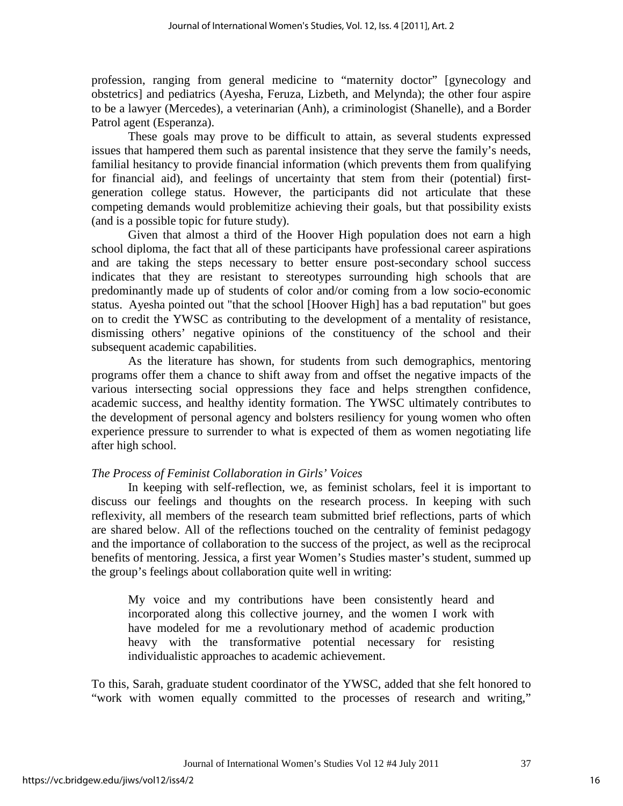profession, ranging from general medicine to "maternity doctor" [gynecology and obstetrics] and pediatrics (Ayesha, Feruza, Lizbeth, and Melynda); the other four aspire to be a lawyer (Mercedes), a veterinarian (Anh), a criminologist (Shanelle), and a Border Patrol agent (Esperanza).

These goals may prove to be difficult to attain, as several students expressed issues that hampered them such as parental insistence that they serve the family's needs, familial hesitancy to provide financial information (which prevents them from qualifying for financial aid), and feelings of uncertainty that stem from their (potential) firstgeneration college status. However, the participants did not articulate that these competing demands would problemitize achieving their goals, but that possibility exists (and is a possible topic for future study).

 Given that almost a third of the Hoover High population does not earn a high school diploma, the fact that all of these participants have professional career aspirations and are taking the steps necessary to better ensure post-secondary school success indicates that they are resistant to stereotypes surrounding high schools that are predominantly made up of students of color and/or coming from a low socio-economic status. Ayesha pointed out "that the school [Hoover High] has a bad reputation" but goes on to credit the YWSC as contributing to the development of a mentality of resistance, dismissing others' negative opinions of the constituency of the school and their subsequent academic capabilities.

As the literature has shown, for students from such demographics, mentoring programs offer them a chance to shift away from and offset the negative impacts of the various intersecting social oppressions they face and helps strengthen confidence, academic success, and healthy identity formation. The YWSC ultimately contributes to the development of personal agency and bolsters resiliency for young women who often experience pressure to surrender to what is expected of them as women negotiating life after high school.

## *The Process of Feminist Collaboration in Girls' Voices*

In keeping with self-reflection, we, as feminist scholars, feel it is important to discuss our feelings and thoughts on the research process. In keeping with such reflexivity, all members of the research team submitted brief reflections, parts of which are shared below. All of the reflections touched on the centrality of feminist pedagogy and the importance of collaboration to the success of the project, as well as the reciprocal benefits of mentoring. Jessica, a first year Women's Studies master's student, summed up the group's feelings about collaboration quite well in writing:

My voice and my contributions have been consistently heard and incorporated along this collective journey, and the women I work with have modeled for me a revolutionary method of academic production heavy with the transformative potential necessary for resisting individualistic approaches to academic achievement.

To this, Sarah, graduate student coordinator of the YWSC, added that she felt honored to "work with women equally committed to the processes of research and writing,"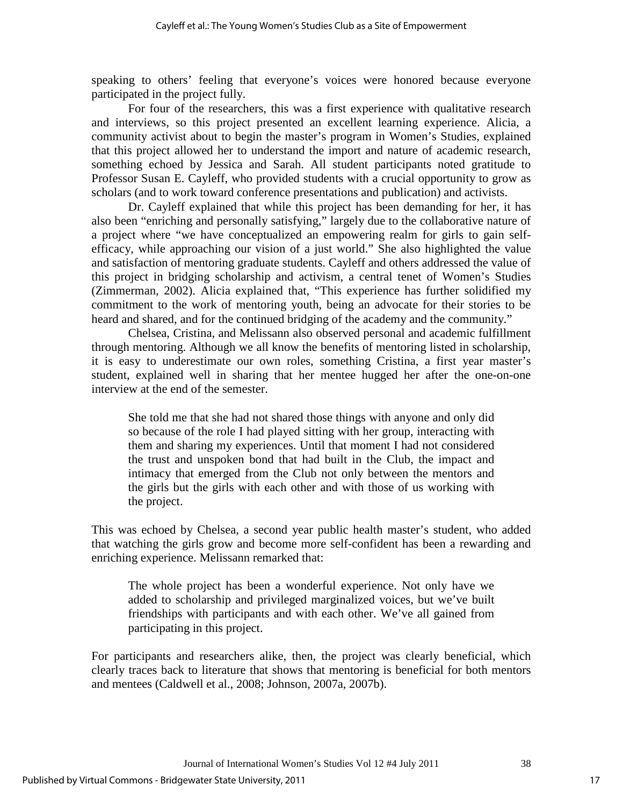speaking to others' feeling that everyone's voices were honored because everyone participated in the project fully.

For four of the researchers, this was a first experience with qualitative research and interviews, so this project presented an excellent learning experience. Alicia, a community activist about to begin the master's program in Women's Studies, explained that this project allowed her to understand the import and nature of academic research, something echoed by Jessica and Sarah. All student participants noted gratitude to Professor Susan E. Cayleff, who provided students with a crucial opportunity to grow as scholars (and to work toward conference presentations and publication) and activists.

Dr. Cayleff explained that while this project has been demanding for her, it has also been "enriching and personally satisfying," largely due to the collaborative nature of a project where "we have conceptualized an empowering realm for girls to gain selfefficacy, while approaching our vision of a just world." She also highlighted the value and satisfaction of mentoring graduate students. Cayleff and others addressed the value of this project in bridging scholarship and activism, a central tenet of Women's Studies (Zimmerman, 2002). Alicia explained that, "This experience has further solidified my commitment to the work of mentoring youth, being an advocate for their stories to be heard and shared, and for the continued bridging of the academy and the community."

Chelsea, Cristina, and Melissann also observed personal and academic fulfillment through mentoring. Although we all know the benefits of mentoring listed in scholarship, it is easy to underestimate our own roles, something Cristina, a first year master's student, explained well in sharing that her mentee hugged her after the one-on-one interview at the end of the semester.

She told me that she had not shared those things with anyone and only did so because of the role I had played sitting with her group, interacting with them and sharing my experiences. Until that moment I had not considered the trust and unspoken bond that had built in the Club, the impact and intimacy that emerged from the Club not only between the mentors and the girls but the girls with each other and with those of us working with the project.

This was echoed by Chelsea, a second year public health master's student, who added that watching the girls grow and become more self-confident has been a rewarding and enriching experience. Melissann remarked that:

The whole project has been a wonderful experience. Not only have we added to scholarship and privileged marginalized voices, but we've built friendships with participants and with each other. We've all gained from participating in this project.

For participants and researchers alike, then, the project was clearly beneficial, which clearly traces back to literature that shows that mentoring is beneficial for both mentors and mentees (Caldwell et al., 2008; Johnson, 2007a, 2007b).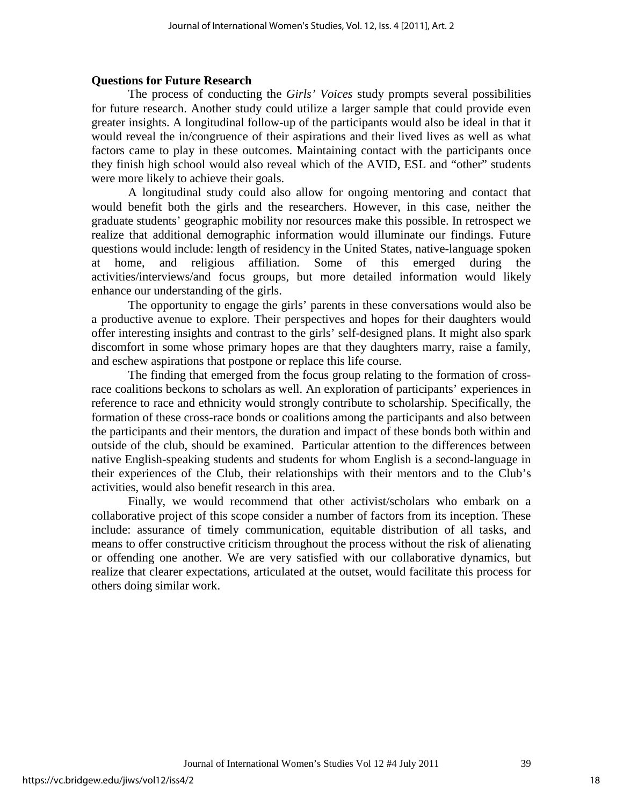## **Questions for Future Research**

The process of conducting the *Girls' Voices* study prompts several possibilities for future research. Another study could utilize a larger sample that could provide even greater insights. A longitudinal follow-up of the participants would also be ideal in that it would reveal the in/congruence of their aspirations and their lived lives as well as what factors came to play in these outcomes. Maintaining contact with the participants once they finish high school would also reveal which of the AVID, ESL and "other" students were more likely to achieve their goals.

A longitudinal study could also allow for ongoing mentoring and contact that would benefit both the girls and the researchers. However, in this case, neither the graduate students' geographic mobility nor resources make this possible. In retrospect we realize that additional demographic information would illuminate our findings. Future questions would include: length of residency in the United States, native-language spoken at home, and religious affiliation. Some of this emerged during the activities/interviews/and focus groups, but more detailed information would likely enhance our understanding of the girls.

The opportunity to engage the girls' parents in these conversations would also be a productive avenue to explore. Their perspectives and hopes for their daughters would offer interesting insights and contrast to the girls' self-designed plans. It might also spark discomfort in some whose primary hopes are that they daughters marry, raise a family, and eschew aspirations that postpone or replace this life course.

The finding that emerged from the focus group relating to the formation of crossrace coalitions beckons to scholars as well. An exploration of participants' experiences in reference to race and ethnicity would strongly contribute to scholarship. Specifically, the formation of these cross-race bonds or coalitions among the participants and also between the participants and their mentors, the duration and impact of these bonds both within and outside of the club, should be examined. Particular attention to the differences between native English-speaking students and students for whom English is a second-language in their experiences of the Club, their relationships with their mentors and to the Club's activities, would also benefit research in this area.

Finally, we would recommend that other activist/scholars who embark on a collaborative project of this scope consider a number of factors from its inception. These include: assurance of timely communication, equitable distribution of all tasks, and means to offer constructive criticism throughout the process without the risk of alienating or offending one another. We are very satisfied with our collaborative dynamics, but realize that clearer expectations, articulated at the outset, would facilitate this process for others doing similar work.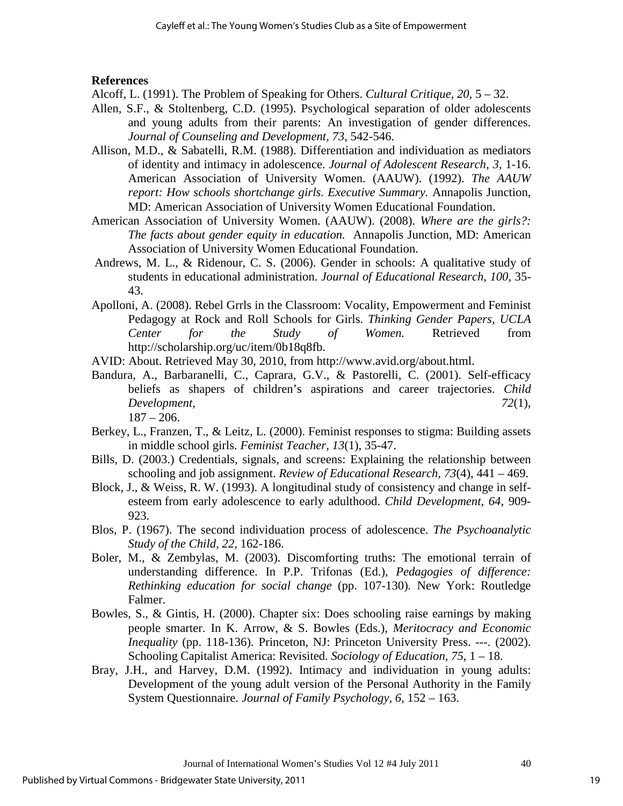#### **References**

Alcoff, L. (1991). The Problem of Speaking for Others. *Cultural Critique, 20,* 5 – 32.

- Allen, S.F., & Stoltenberg, C.D. (1995). Psychological separation of older adolescents and young adults from their parents: An investigation of gender differences. *Journal of Counseling and Development, 73*, 542-546.
- Allison, M.D., & Sabatelli, R.M. (1988). Differentiation and individuation as mediators of identity and intimacy in adolescence. *Journal of Adolescent Research, 3*, 1-16. American Association of University Women. (AAUW). (1992). *The AAUW report: How schools shortchange girls. Executive Summary.* Annapolis Junction, MD: American Association of University Women Educational Foundation.
- American Association of University Women. (AAUW). (2008). *Where are the girls?: The facts about gender equity in education.* Annapolis Junction, MD: American Association of University Women Educational Foundation.
- Andrews, M. L., & Ridenour, C. S. (2006). Gender in schools: A qualitative study of students in educational administration. *Journal of Educational Research*, *100*, 35- 43.
- Apolloni, A. (2008). Rebel Grrls in the Classroom: Vocality, Empowerment and Feminist Pedagogy at Rock and Roll Schools for Girls. *Thinking Gender Papers, UCLA Center for the Study of Women.* Retrieved from [http://scholarship.org/uc/item/0b18q8fb.](http://scholarship.org/uc/item/0b18q8fb)
- AVID: About. Retrieved May 30, 2010, from http://www.avid.org/about.html.
- Bandura, A., Barbaranelli, C., Caprara, G.V., & Pastorelli, C. (2001). Self-efficacy beliefs as shapers of children's aspirations and career trajectories. *Child Development, 72*(1),  $187 - 206$ .
- Berkey, L., Franzen, T., & Leitz, L. (2000). Feminist responses to stigma: Building assets in middle school girls. *Feminist Teacher, 13*(1), 35-47.
- Bills, D. (2003.) Credentials, signals, and screens: Explaining the relationship between schooling and job assignment. *Review of Educational Research, 73*(4), 441 – 469.
- Block, J., & Weiss, R. W. (1993). A longitudinal study of consistency and change in selfesteem from early adolescence to early adulthood. *Child Development*, *64*, 909- 923.
- Blos, P. (1967). The second individuation process of adolescence. *The Psychoanalytic Study of the Child, 22,* 162-186.
- Boler, M., & Zembylas, M. (2003). Discomforting truths: The emotional terrain of understanding difference. In P.P. Trifonas (Ed.), *Pedagogies of difference: Rethinking education for social change* (pp. 107-130)*.* New York: Routledge Falmer.
- Bowles, S., & Gintis, H. (2000). Chapter six: Does schooling raise earnings by making people smarter. In K. Arrow, & S. Bowles (Eds.), *Meritocracy and Economic Inequality* (pp. 118-136)*.* Princeton, NJ: Princeton University Press. ---. (2002). Schooling Capitalist America: Revisited. *Sociology of Education*, *75*, 1 – 18.
- Bray, J.H., and Harvey, D.M. (1992). Intimacy and individuation in young adults: Development of the young adult version of the Personal Authority in the Family System Questionnaire. *Journal of Family Psychology*, *6*, 152 – 163.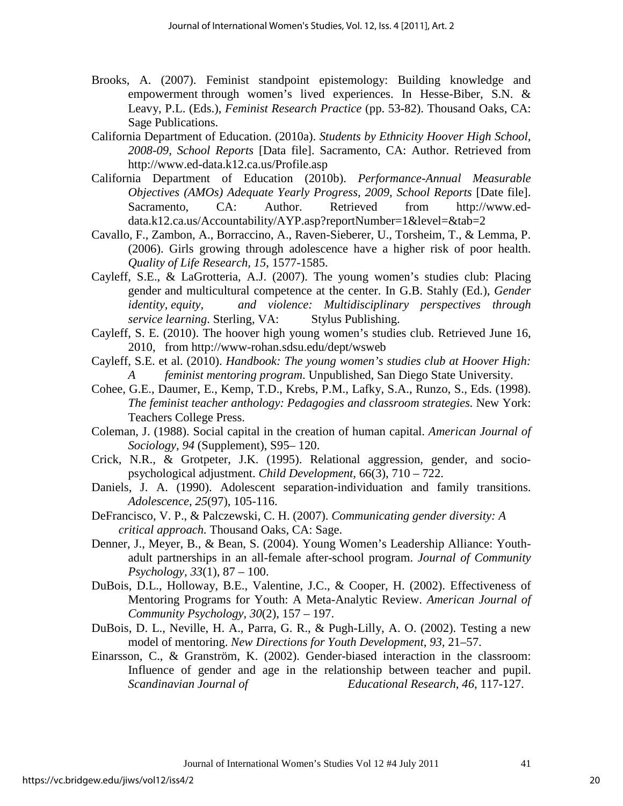- Brooks, A. (2007). Feminist standpoint epistemology: Building knowledge and empowerment through women's lived experiences. In Hesse-Biber, S.N. & Leavy, P.L. (Eds.), *Feminist Research Practice* (pp. 53-82). Thousand Oaks, CA: Sage Publications.
- California Department of Education. (2010a). *Students by Ethnicity Hoover High School, 2008-09, School Reports* [Data file]. Sacramento, CA: Author. Retrieved from http://www.ed-data.k12.ca.us/Profile.asp
- California Department of Education (2010b). *Performance-Annual Measurable Objectives (AMOs) Adequate Yearly Progress, 2009, School Reports [Date file].* Sacramento, CA: Author. Retrieved from http://www.eddata.k12.ca.us/Accountability/AYP.asp?reportNumber=1&level=&tab=2
- Cavallo, F., Zambon, A., Borraccino, A., Raven-Sieberer, U., Torsheim, T., & Lemma, P. (2006). Girls growing through adolescence have a higher risk of poor health. *Quality of Life Research, 15*, 1577-1585.
- Cayleff, S.E., & LaGrotteria, A.J. (2007). The young women's studies club: Placing gender and multicultural competence at the center. In G.B. Stahly (Ed.), *Gender identity, equity, and violence: Multidisciplinary perspectives through service learning*. Sterling, VA: Stylus Publishing.
- Cayleff, S. E. (2010). The hoover high young women's studies club. Retrieved June 16, 2010, from http://www-rohan.sdsu.edu/dept/wsweb
- Cayleff, S.E. et al. (2010). *Handbook: The young women's studies club at Hoover High: A feminist mentoring program*. Unpublished, San Diego State University.
- Cohee, G.E., Daumer, E., Kemp, T.D., Krebs, P.M., Lafky, S.A., Runzo, S., Eds. (1998). *The feminist teacher anthology: Pedagogies and classroom strategies.* New York: Teachers College Press.
- Coleman, J. (1988). Social capital in the creation of human capital. *American Journal of Sociology, 94* (Supplement), S95– 120.
- Crick, N.R., & Grotpeter, J.K. (1995). Relational aggression, gender, and sociopsychological adjustment. *Child Development,* 66(3), 710 – 722.
- Daniels, J. A. (1990). Adolescent separation-individuation and family transitions. *Adolescence*, *25*(97), 105-116.
- DeFrancisco, V. P., & Palczewski, C. H. (2007). *Communicating gender diversity: A critical approach.* Thousand Oaks, CA: Sage.
- Denner, J., Meyer, B., & Bean, S. (2004). Young Women's Leadership Alliance: Youthadult partnerships in an all-female after-school program. *Journal of Community Psychology, 33*(1), 87 – 100.
- DuBois, D.L., Holloway, B.E., Valentine, J.C., & Cooper, H. (2002). Effectiveness of Mentoring Programs for Youth: A Meta-Analytic Review. *American Journal of Community Psychology, 30*(2), 157 – 197.
- DuBois, D. L., Neville, H. A., Parra, G. R., & Pugh-Lilly, A. O. (2002). Testing a new model of mentoring. *New Directions for Youth Development*, *93,* 21–57.
- Einarsson, C., & Granström, K. (2002). Gender-biased interaction in the classroom: Influence of gender and age in the relationship between teacher and pupil. *Scandinavian Journal of Educational Research*, *46*, 117-127.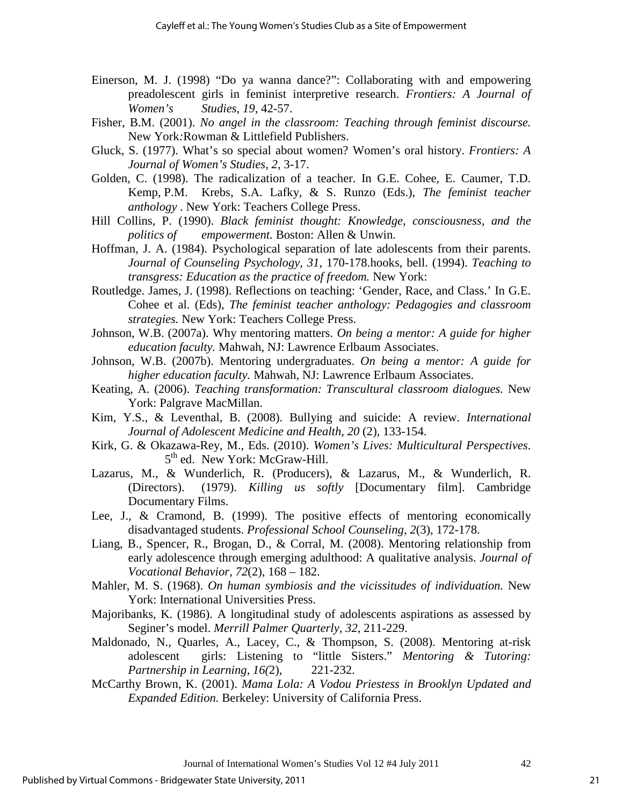- Einerson, M. J. (1998) "Do ya wanna dance?": Collaborating with and empowering preadolescent girls in feminist interpretive research. *Frontiers: A Journal of Women's Studies, 19*, 42-57.
- Fisher, B.M. (2001). *No angel in the classroom: Teaching through feminist discourse.*  New York*:*Rowman & Littlefield Publishers.
- Gluck, S. (1977). What's so special about women? Women's oral history. *Frontiers: A Journal of Women's Studies, 2,* 3-17.
- Golden, C. (1998). The radicalization of a teacher. In G.E. Cohee, E. Caumer, T.D. Kemp, P.M. Krebs, S.A. Lafky, & S. Runzo (Eds.), *The feminist teacher anthology* . New York: Teachers College Press.
- Hill Collins, P. (1990). *Black feminist thought: Knowledge, consciousness, and the politics of empowerment.* Boston: Allen & Unwin.
- Hoffman, J. A. (1984). Psychological separation of late adolescents from their parents. *Journal of Counseling Psychology, 31,* 170-178.hooks, bell. (1994). *Teaching to transgress: Education as the practice of freedom.* New York:
- Routledge. James, J. (1998). Reflections on teaching: 'Gender, Race, and Class.' In G.E. Cohee et al. (Eds), *The feminist teacher anthology: Pedagogies and classroom strategies.* New York: Teachers College Press.
- Johnson, W.B. (2007a). Why mentoring matters. *On being a mentor: A guide for higher education faculty.* Mahwah, NJ: Lawrence Erlbaum Associates.
- Johnson, W.B. (2007b). Mentoring undergraduates. *On being a mentor: A guide for higher education faculty.* Mahwah, NJ: Lawrence Erlbaum Associates.
- Keating, A. (2006). *Teaching transformation: Transcultural classroom dialogues.* New York: Palgrave MacMillan.
- Kim, Y.S., & Leventhal, B. (2008). Bullying and suicide: A review. *International Journal of Adolescent Medicine and Health, 20* (2), 133-154.
- Kirk, G. & Okazawa-Rey, M., Eds. (2010). *Women's Lives: Multicultural Perspectives*. 5<sup>th</sup> ed. New York: McGraw-Hill.
- Lazarus, M., & Wunderlich, R. (Producers), & Lazarus, M., & Wunderlich, R. (Directors). (1979). *Killing us softly* [Documentary film]. Cambridge Documentary Films.
- Lee, J., & Cramond, B. (1999). The positive effects of mentoring economically disadvantaged students. *Professional School Counseling, 2*(3), 172-178.
- Liang, B., Spencer, R., Brogan, D., & Corral, M. (2008). Mentoring relationship from early adolescence through emerging adulthood: A qualitative analysis. *Journal of Vocational Behavior, 72*(2), 168 – 182.
- Mahler, M. S. (1968). *On human symbiosis and the vicissitudes of individuation.* New York: International Universities Press.
- Majoribanks, K. (1986). A longitudinal study of adolescents aspirations as assessed by Seginer's model. *Merrill Palmer Quarterly, 32*, 211-229.
- Maldonado, N., Quarles, A., Lacey, C., & Thompson, S. (2008). Mentoring at-risk adolescent girls: Listening to "little Sisters." *Mentoring & Tutoring: Partnership in Learning, 16(*2), 221-232.
- McCarthy Brown, K. (2001). *Mama Lola: A Vodou Priestess in Brooklyn Updated and Expanded Edition.* Berkeley: University of California Press.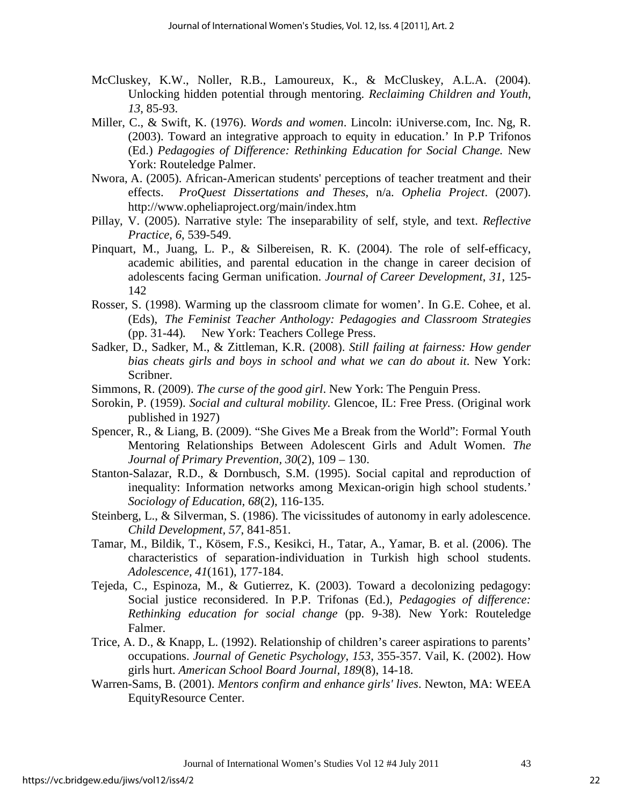- McCluskey, K.W., Noller, R.B., Lamoureux, K., & McCluskey, A.L.A. (2004). Unlocking hidden potential through mentoring. *Reclaiming Children and Youth, 13*, 85-93.
- Miller, C., & Swift, K. (1976). *Words and women*. Lincoln: iUniverse.com, Inc. Ng, R. (2003). Toward an integrative approach to equity in education.' In P.P Trifonos (Ed.) *Pedagogies of Difference: Rethinking Education for Social Change.* New York: Routeledge Palmer.
- Nwora, A. (2005). African-American students' perceptions of teacher treatment and their effects. *ProQuest Dissertations and Theses*, n/a. *Ophelia Project*. (2007). http://www.opheliaproject.org/main/index.htm
- Pillay, V. (2005). Narrative style: The inseparability of self, style, and text. *Reflective Practice*, *6*, 539-549.
- Pinquart, M., Juang, L. P., & Silbereisen, R. K. (2004). The role of self-efficacy, academic abilities, and parental education in the change in career decision of adolescents facing German unification. *Journal of Career Development*, *31*, 125- 142
- Rosser, S. (1998). Warming up the classroom climate for women'. In G.E. Cohee, et al. (Eds), *The Feminist Teacher Anthology: Pedagogies and Classroom Strategies* (pp. 31-44)*.* New York: Teachers College Press.
- Sadker, D., Sadker, M., & Zittleman, K.R. (2008). *Still failing at fairness: How gender bias cheats girls and boys in school and what we can do about it*. New York: Scribner.
- Simmons, R. (2009). *The curse of the good girl*. New York: The Penguin Press.
- Sorokin, P. (1959). *Social and cultural mobility.* Glencoe, IL: Free Press. (Original work published in 1927)
- Spencer, R., & Liang, B. (2009). "She Gives Me a Break from the World": Formal Youth Mentoring Relationships Between Adolescent Girls and Adult Women. *The Journal of Primary Prevention, 30*(2), 109 – 130.
- Stanton-Salazar, R.D., & Dornbusch, S.M. (1995). Social capital and reproduction of inequality: Information networks among Mexican-origin high school students.' *Sociology of Education, 68*(2), 116-135.
- Steinberg, L., & Silverman, S. (1986). The vicissitudes of autonomy in early adolescence. *Child Development, 57*, 841-851.
- Tamar, M., Bildik, T., Kösem, F.S., Kesikci, H., Tatar, A., Yamar, B. et al. (2006). The characteristics of separation-individuation in Turkish high school students. *Adolescence, 41*(161), 177-184.
- Tejeda, C., Espinoza, M., & Gutierrez, K. (2003). Toward a decolonizing pedagogy: Social justice reconsidered. In P.P. Trifonas (Ed.), *Pedagogies of difference: Rethinking education for social change* (pp. 9-38)*.* New York: Routeledge Falmer.
- Trice, A. D., & Knapp, L. (1992). Relationship of children's career aspirations to parents' occupations. *Journal of Genetic Psychology*, *153*, 355-357. Vail, K. (2002). How girls hurt. *American School Board Journal, 189*(8), 14-18.
- Warren-Sams, B. (2001). *Mentors confirm and enhance girls' lives*. Newton, MA: WEEA EquityResource Center.